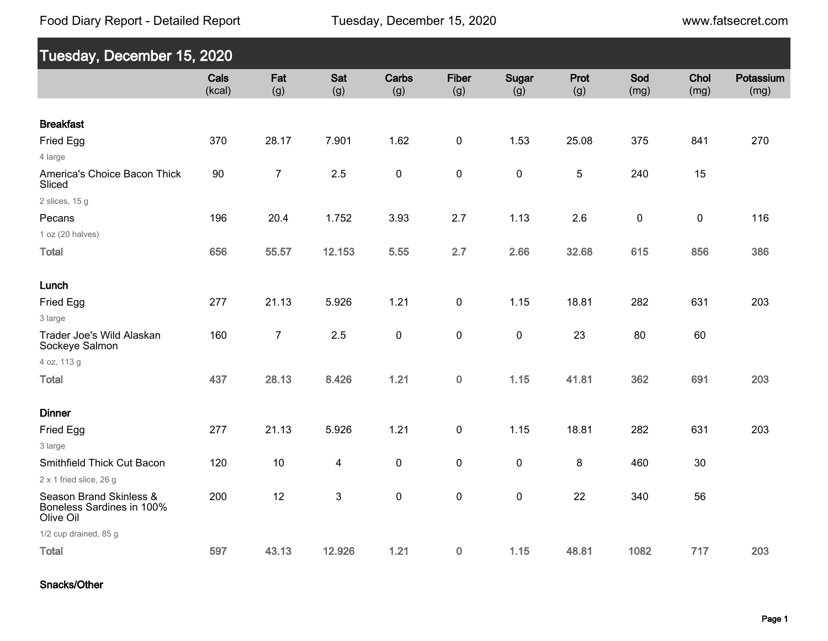Food Diary Report - Detailed Report

www.fatsecret.com

| Tuesday, December 15, 2020                                        |                |                |                         |              |                     |              |             |             |              |                   |
|-------------------------------------------------------------------|----------------|----------------|-------------------------|--------------|---------------------|--------------|-------------|-------------|--------------|-------------------|
|                                                                   | Cals<br>(kcal) | Fat<br>(g)     | Sat<br>(g)              | Carbs<br>(g) | <b>Fiber</b><br>(g) | Sugar<br>(g) | Prot<br>(g) | Sod<br>(mg) | Chol<br>(mg) | Potassium<br>(mg) |
| <b>Breakfast</b>                                                  |                |                |                         |              |                     |              |             |             |              |                   |
| Fried Egg                                                         | 370            | 28.17          | 7.901                   | 1.62         | $\mathbf 0$         | 1.53         | 25.08       | 375         | 841          | 270               |
| 4 large                                                           |                |                |                         |              |                     |              |             |             |              |                   |
| America's Choice Bacon Thick<br>Sliced                            | 90             | $\overline{7}$ | 2.5                     | $\mathbf 0$  | $\pmb{0}$           | $\pmb{0}$    | 5           | 240         | 15           |                   |
| 2 slices, $15g$                                                   |                |                |                         |              |                     |              |             |             |              |                   |
| Pecans                                                            | 196            | 20.4           | 1.752                   | 3.93         | 2.7                 | 1.13         | 2.6         | 0           | $\pmb{0}$    | 116               |
| 1 oz (20 halves)                                                  |                |                |                         |              |                     |              |             |             |              |                   |
| <b>Total</b>                                                      | 656            | 55.57          | 12.153                  | 5.55         | 2.7                 | 2.66         | 32.68       | 615         | 856          | 386               |
|                                                                   |                |                |                         |              |                     |              |             |             |              |                   |
| Lunch                                                             |                |                |                         |              |                     |              |             |             |              |                   |
| Fried Egg                                                         | 277            | 21.13          | 5.926                   | 1.21         | $\pmb{0}$           | 1.15         | 18.81       | 282         | 631          | 203               |
| 3 large                                                           |                |                |                         |              |                     |              |             |             |              |                   |
| Trader Joe's Wild Alaskan<br>Sockeye Salmon                       | 160            | $\overline{7}$ | 2.5                     | $\pmb{0}$    | $\pmb{0}$           | $\pmb{0}$    | 23          | 80          | 60           |                   |
| 4 oz, 113 g                                                       |                |                |                         |              |                     |              |             |             |              |                   |
| <b>Total</b>                                                      | 437            | 28.13          | 8.426                   | 1.21         | $\pmb{0}$           | 1.15         | 41.81       | 362         | 691          | 203               |
| <b>Dinner</b>                                                     |                |                |                         |              |                     |              |             |             |              |                   |
| Fried Egg                                                         | 277            | 21.13          | 5.926                   | 1.21         | $\pmb{0}$           | 1.15         | 18.81       | 282         | 631          | 203               |
| 3 large                                                           |                |                |                         |              |                     |              |             |             |              |                   |
| Smithfield Thick Cut Bacon                                        | 120            | $10$           | $\overline{\mathbf{4}}$ | 0            | 0                   | $\pmb{0}$    | 8           | 460         | 30           |                   |
| 2 x 1 fried slice, 26 g                                           |                |                |                         |              |                     |              |             |             |              |                   |
| Season Brand Skinless &<br>Boneless Sardines in 100%<br>Olive Oil | 200            | 12             | $\mathbf{3}$            | $\pmb{0}$    | $\pmb{0}$           | $\pmb{0}$    | 22          | 340         | 56           |                   |
| 1/2 cup drained, 85 g                                             |                |                |                         |              |                     |              |             |             |              |                   |
| <b>Total</b>                                                      | 597            | 43.13          | 12.926                  | 1.21         | $\pmb{0}$           | 1.15         | 48.81       | 1082        | 717          | 203               |

Snacks/Other